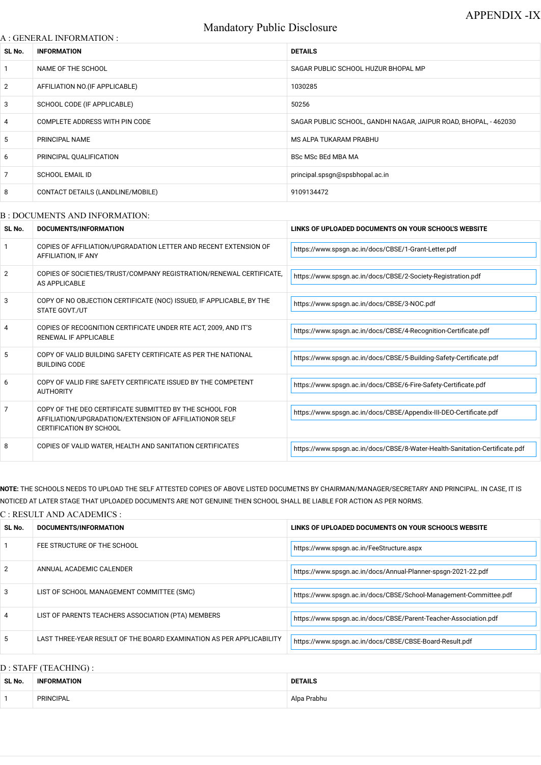# Mandatory Public Disclosure

### A : GENERAL INFORMATION :

| SL No.         | <b>INFORMATION</b>                | <b>DETAILS</b>                                                   |
|----------------|-----------------------------------|------------------------------------------------------------------|
| $\overline{1}$ | NAME OF THE SCHOOL                | SAGAR PUBLIC SCHOOL HUZUR BHOPAL MP                              |
| $\overline{2}$ | AFFILIATION NO. (IF APPLICABLE)   | 1030285                                                          |
| 3              | SCHOOL CODE (IF APPLICABLE)       | 50256                                                            |
| $\overline{4}$ | COMPLETE ADDRESS WITH PIN CODE    | SAGAR PUBLIC SCHOOL, GANDHI NAGAR, JAIPUR ROAD, BHOPAL, - 462030 |
| 5              | PRINCIPAL NAME                    | MS ALPA TUKARAM PRABHU                                           |
| 6              | PRINCIPAL QUALIFICATION           | <b>BSc MSc BEd MBA MA</b>                                        |
| $\overline{7}$ | <b>SCHOOL EMAIL ID</b>            | principal.spsgn@spsbhopal.ac.in                                  |
| 8              | CONTACT DETAILS (LANDLINE/MOBILE) | 9109134472                                                       |
|                |                                   |                                                                  |

### B : DOCUMENTS AND INFORMATION:

| SL No.         | <b>DOCUMENTS/INFORMATION</b>                                                                                                                         | LINKS OF UPLOADED DOCUMENTS ON YOUR SCHOOL'S WEBSITE                        |  |
|----------------|------------------------------------------------------------------------------------------------------------------------------------------------------|-----------------------------------------------------------------------------|--|
|                | COPIES OF AFFILIATION/UPGRADATION LETTER AND RECENT EXTENSION OF<br>AFFILIATION, IF ANY                                                              | https://www.spsgn.ac.in/docs/CBSE/1-Grant-Letter.pdf                        |  |
| $\overline{2}$ | COPIES OF SOCIETIES/TRUST/COMPANY REGISTRATION/RENEWAL CERTIFICATE,<br>AS APPLICABLE                                                                 | https://www.spsgn.ac.in/docs/CBSE/2-Society-Registration.pdf                |  |
| 3              | COPY OF NO OBJECTION CERTIFICATE (NOC) ISSUED, IF APPLICABLE, BY THE<br><b>STATE GOVT./UT</b>                                                        | https://www.spsgn.ac.in/docs/CBSE/3-NOC.pdf                                 |  |
| 4              | COPIES OF RECOGNITION CERTIFICATE UNDER RTE ACT, 2009, AND IT'S<br>RENEWAL IF APPLICABLE                                                             | https://www.spsgn.ac.in/docs/CBSE/4-Recognition-Certificate.pdf             |  |
| 5              | COPY OF VALID BUILDING SAFETY CERTIFICATE AS PER THE NATIONAL<br><b>BUILDING CODE</b>                                                                | https://www.spsgn.ac.in/docs/CBSE/5-Building-Safety-Certificate.pdf         |  |
| 6              | COPY OF VALID FIRE SAFETY CERTIFICATE ISSUED BY THE COMPETENT<br>AUTHORITY                                                                           | https://www.spsgn.ac.in/docs/CBSE/6-Fire-Safety-Certificate.pdf             |  |
| 7              | COPY OF THE DEO CERTIFICATE SUBMITTED BY THE SCHOOL FOR<br>AFFILIATION/UPGRADATION/EXTENSION OF AFFILIATIONOR SELF<br><b>CERTIFICATION BY SCHOOL</b> | https://www.spsgn.ac.in/docs/CBSE/Appendix-III-DEO-Certificate.pdf          |  |
| 8              | COPIES OF VALID WATER, HEALTH AND SANITATION CERTIFICATES                                                                                            | https://www.spsgn.ac.in/docs/CBSE/8-Water-Health-Sanitation-Certificate.pdf |  |

**NOTE:** THE SCHOOLS NEEDS TO UPLOAD THE SELF ATTESTED COPIES OF ABOVE LISTED DOCUMETNS BY CHAIRMAN/MANAGER/SECRETARY AND PRINCIPAL. IN CASE, IT IS NOTICED AT LATER STAGE THAT UPLOADED DOCUMENTS ARE NOT GENUINE THEN SCHOOL SHALL BE LIABLE FOR ACTION AS PER NORMS.

### C : RESULT AND ACADEMICS :

| SL No. | DOCUMENTS/INFORMATION       | LINKS OF UPLOADED DOCUMENTS ON YOUR SCHOOL'S WEBSITE          |
|--------|-----------------------------|---------------------------------------------------------------|
|        | FEE STRUCTURE OF THE SCHOOL | https://www.spsgn.ac.in/FeeStructure.aspx                     |
| 2      | ANNUAL ACADEMIC CALENDER    | https://www.spsgn.ac.in/docs/Annual-Planner-spsgn-2021-22.pdf |

| 3 | LIST OF SCHOOL MANAGEMENT COMMITTEE (SMC)                            | https://www.spsgn.ac.in/docs/CBSE/School-Management-Committee.pdf |
|---|----------------------------------------------------------------------|-------------------------------------------------------------------|
| 4 | LIST OF PARENTS TEACHERS ASSOCIATION (PTA) MEMBERS                   | https://www.spsgn.ac.in/docs/CBSE/Parent-Teacher-Association.pdf  |
| 5 | LAST THREE-YEAR RESULT OF THE BOARD EXAMINATION AS PER APPLICABILITY | https://www.spsgn.ac.in/docs/CBSE/CBSE-Board-Result.pdf           |

# D : STAFF (TEACHING) :

| SL No. | <b>INFORMATION</b> | <b>DETAILS</b> |  |
|--------|--------------------|----------------|--|
|        | PRINCIPAL          | Alpa Prabhu    |  |